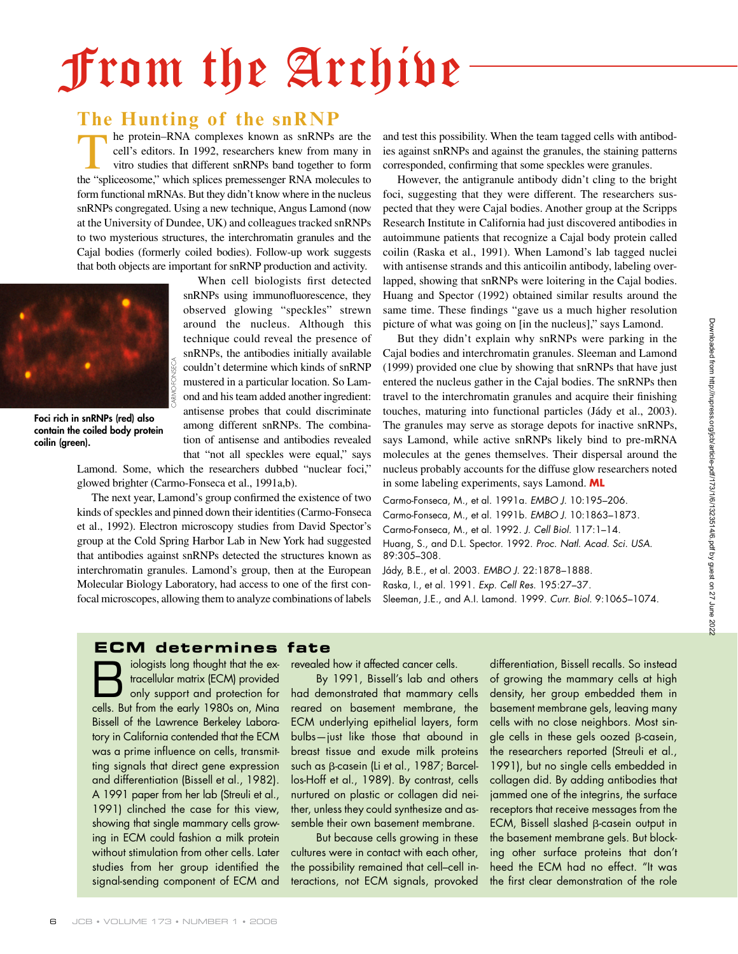# From the Archive

## The Hunting of the snRNP<br>the protein-RNA complexes known as snRNPs are the

The protein–RNA complexes known as snRNPs are the cell's editors. In 1992, researchers knew from many in vitro studies that different snRNPs band together to form the "spliceosome" which splices premessenger RNA molecules cell's editors. In 1992, researchers knew from many in vitro studies that different snRNPs band together to form the "spliceosome," which splices premessenger RNA molecules to form functional mRNAs. But they didn't know where in the nucleus snRNPs congregated. Using a new technique, Angus Lamond (now at the University of Dundee, UK) and colleagues tracked snRNPs to two mysterious structures, the interchromatin granules and the Cajal bodies (formerly coiled bodies). Follow-up work suggests that both objects are important for snRNP production and activity.



**Foci rich in snRNPs (red) also contain the coiled body protein coilin (green).**

When cell biologists first detected snRNPs using immunofluorescence, they observed glowing "speckles" strewn around the nucleus. Although this technique could reveal the presence of snRNPs, the antibodies initially available couldn't determine which kinds of snRNP mustered in a particular location. So Lamond and his team added another ingredient: antisense probes that could discriminate among different snRNPs. The combination of antisense and antibodies revealed that "not all speckles were equal," says

Lamond. Some, which the researchers dubbed "nuclear foci," glowed brighter (Carmo-Fonseca et al., 1991a,b).

The next year, Lamond's group confirmed the existence of two kinds of speckles and pinned down their identities (Carmo-Fonseca et al., 1992). Electron microscopy studies from David Spector's group at the Cold Spring Harbor Lab in New York had suggested that antibodies against snRNPs detected the structures known as interchromatin granules. Lamond's group, then at the European Molecular Biology Laboratory, had access to one of the first confocal microscopes, allowing them to analyze combinations of labels and test this possibility. When the team tagged cells with antibodies against snRNPs and against the granules, the staining patterns corresponded, confirming that some speckles were granules.

However, the antigranule antibody didn't cling to the bright foci, suggesting that they were different. The researchers suspected that they were Cajal bodies. Another group at the Scripps Research Institute in California had just discovered antibodies in autoimmune patients that recognize a Cajal body protein called coilin (Raska et al., 1991). When Lamond's lab tagged nuclei with antisense strands and this anticoilin antibody, labeling overlapped, showing that snRNPs were loitering in the Cajal bodies. Huang and Spector (1992) obtained similar results around the same time. These findings "gave us a much higher resolution picture of what was going on [in the nucleus]," says Lamond.

But they didn't explain why snRNPs were parking in the Cajal bodies and interchromatin granules. Sleeman and Lamond (1999) provided one clue by showing that snRNPs that have just entered the nucleus gather in the Cajal bodies. The snRNPs then travel to the interchromatin granules and acquire their finishing touches, maturing into functional particles (Jády et al., 2003). The granules may serve as storage depots for inactive snRNPs, says Lamond, while active snRNPs likely bind to pre-mRNA molecules at the genes themselves. Their dispersal around the nucleus probably accounts for the diffuse glow researchers noted in some labeling experiments, says Lamond. **ML**

Carmo-Fonseca, M., et al. 1991a. EMBO J. 10:195–206. Carmo-Fonseca, M., et al. 1991b. EMBO J. 10:1863–1873. Carmo-Fonseca, M., et al. 1992. J. Cell Biol. 117:1–14. Huang, S., and D.L. Spector. 1992. Proc. Natl. Acad. Sci. USA. 89:305–308.

Jády, B.E., et al. 2003. EMBO J. 22:1878–1888. Raska, I., et al. 1991. Exp. Cell Res. 195:27–37.

Sleeman, J.E., and A.I. Lamond. 1999. Curr. Biol. 9:1065–1074.

### **ECM** determines fate

iologists long thought that the ex-<br>
fracellular matrix (ECM) provided<br>
only support and protection for<br>
scale But from the early 1980s on Ming tracellular matrix (ECM) provided cells. But from the early 1980s on, Mina Bissell of the Lawrence Berkeley Laboratory in California contended that the ECM was a prime influence on cells, transmitting signals that direct gene expression and differentiation (Bissell et al., 1982). A 1991 paper from her lab (Streuli et al., 1991) clinched the case for this view, showing that single mammary cells growing in ECM could fashion a milk protein without stimulation from other cells. Later studies from her group identified the signal-sending component of ECM and

revealed how it affected cancer cells.

By 1991, Bissell's lab and others had demonstrated that mammary cells reared on basement membrane, the ECM underlying epithelial layers, form bulbs—just like those that abound in breast tissue and exude milk proteins such as β-casein (Li et al., 1987; Barcellos-Hoff et al., 1989). By contrast, cells nurtured on plastic or collagen did neither, unless they could synthesize and assemble their own basement membrane.

But because cells growing in these cultures were in contact with each other, the possibility remained that cell–cell interactions, not ECM signals, provoked differentiation, Bissell recalls. So instead of growing the mammary cells at high density, her group embedded them in basement membrane gels, leaving many cells with no close neighbors. Most single cells in these gels oozed β-casein, the researchers reported (Streuli et al., 1991), but no single cells embedded in collagen did. By adding antibodies that jammed one of the integrins, the surface receptors that receive messages from the ECM, Bissell slashed β-casein output in the basement membrane gels. But blocking other surface proteins that don't heed the ECM had no effect. "It was the first clear demonstration of the role